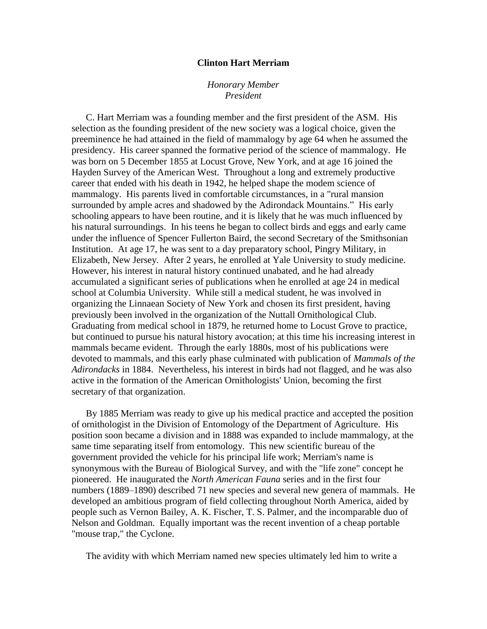## **Clinton Hart Merriam**

## *Honorary Member President*

C. Hart Merriam was a founding member and the first president of the ASM. His selection as the founding president of the new society was a logical choice, given the preeminence he had attained in the field of mammalogy by age 64 when he assumed the presidency. His career spanned the formative period of the science of mammalogy. He was born on 5 December 1855 at Locust Grove, New York, and at age 16 joined the Hayden Survey of the American West. Throughout a long and extremely productive career that ended with his death in 1942, he helped shape the modem science of mammalogy. His parents lived in comfortable circumstances, in a "rural mansion surrounded by ample acres and shadowed by the Adirondack Mountains." His early schooling appears to have been routine, and it is likely that he was much influenced by his natural surroundings. In his teens he began to collect birds and eggs and early came under the influence of Spencer Fullerton Baird, the second Secretary of the Smithsonian Institution. At age 17, he was sent to a day preparatory school, Pingry Military, in Elizabeth, New Jersey. After 2 years, he enrolled at Yale University to study medicine. However, his interest in natural history continued unabated, and he had already accumulated a significant series of publications when he enrolled at age 24 in medical school at Columbia University. While still a medical student, he was involved in organizing the Linnaean Society of New York and chosen its first president, having previously been involved in the organization of the Nuttall Ornithological Club. Graduating from medical school in 1879, he returned home to Locust Grove to practice, but continued to pursue his natural history avocation; at this time his increasing interest in mammals became evident. Through the early 1880s, most of his publications were devoted to mammals, and this early phase culminated with publication of *Mammals of the Adirondacks* in 1884. Nevertheless, his interest in birds had not flagged, and he was also active in the formation of the American Ornithologists' Union, becoming the first secretary of that organization.

By 1885 Merriam was ready to give up his medical practice and accepted the position of ornithologist in the Division of Entomology of the Department of Agriculture. His position soon became a division and in 1888 was expanded to include mammalogy, at the same time separating itself from entomology. This new scientific bureau of the government provided the vehicle for his principal life work; Merriam's name is synonymous with the Bureau of Biological Survey, and with the "life zone" concept he pioneered. He inaugurated the *North American Fauna* series and in the first four numbers (1889–1890) described 71 new species and several new genera of mammals. He developed an ambitious program of field collecting throughout North America, aided by people such as Vernon Bailey, A. K. Fischer, T. S. Palmer, and the incomparable duo of Nelson and Goldman. Equally important was the recent invention of a cheap portable "mouse trap," the Cyclone.

The avidity with which Merriam named new species ultimately led him to write a